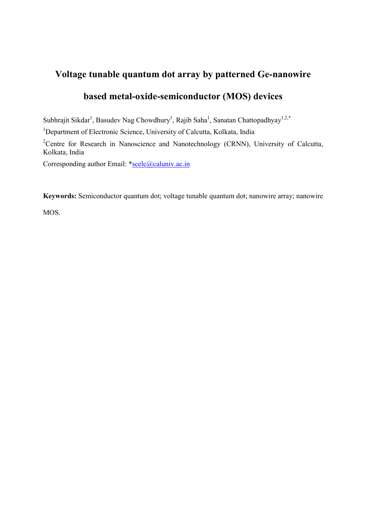## **Voltage tunable quantum dot array by patterned Ge-nanowire**

## **based metal-oxide-semiconductor (MOS) devices**

Subhrajit Sikdar<sup>1</sup>, Basudev Nag Chowdhury<sup>1</sup>, Rajib Saha<sup>1</sup>, Sanatan Chattopadhyay<sup>1,2,\*</sup>

<sup>1</sup>Department of Electronic Science, University of Calcutta, Kolkata, India

<sup>2</sup>Centre for Research in Nanoscience and Nanotechnology (CRNN), University of Calcutta, Kolkata, India

Corresponding author Email: \*scelc@caluniv.ac.in

**Keywords:** Semiconductor quantum dot; voltage tunable quantum dot; nanowire array; nanowire

MOS.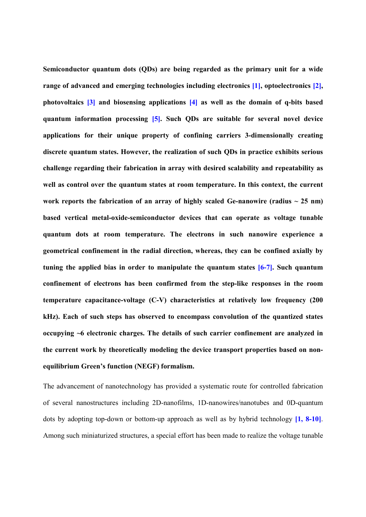**Semiconductor quantum dots (QDs) are being regarded as the primary unit for a wide range of advanced and emerging technologies including electronics [1], optoelectronics [2], photovoltaics [3] and biosensing applications [4] as well as the domain of q-bits based quantum information processing [5]. Such QDs are suitable for several novel device applications for their unique property of confining carriers 3-dimensionally creating discrete quantum states. However, the realization of such QDs in practice exhibits serious challenge regarding their fabrication in array with desired scalability and repeatability as well as control over the quantum states at room temperature. In this context, the current**  work reports the fabrication of an array of highly scaled Ge-nanowire (radius  $\sim$  25 nm) **based vertical metal-oxide-semiconductor devices that can operate as voltage tunable quantum dots at room temperature. The electrons in such nanowire experience a geometrical confinement in the radial direction, whereas, they can be confined axially by tuning the applied bias in order to manipulate the quantum states [6-7]. Such quantum confinement of electrons has been confirmed from the step-like responses in the room temperature capacitance-voltage (C-V) characteristics at relatively low frequency (200 kHz). Each of such steps has observed to encompass convolution of the quantized states occupying ~6 electronic charges. The details of such carrier confinement are analyzed in the current work by theoretically modeling the device transport properties based on nonequilibrium Green's function (NEGF) formalism.** 

The advancement of nanotechnology has provided a systematic route for controlled fabrication of several nanostructures including 2D-nanofilms, 1D-nanowires/nanotubes and 0D-quantum dots by adopting top-down or bottom-up approach as well as by hybrid technology **[1, 8-10]**. Among such miniaturized structures, a special effort has been made to realize the voltage tunable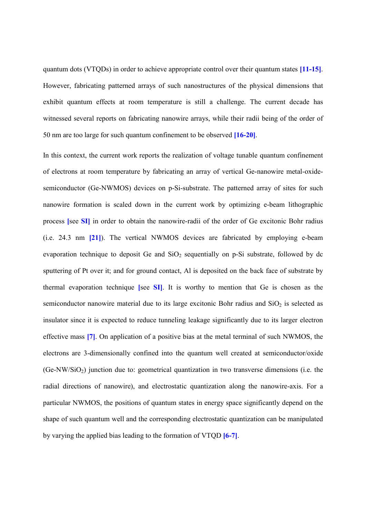quantum dots (VTQDs) in order to achieve appropriate control over their quantum states **[11-15]**. However, fabricating patterned arrays of such nanostructures of the physical dimensions that exhibit quantum effects at room temperature is still a challenge. The current decade has witnessed several reports on fabricating nanowire arrays, while their radii being of the order of 50 nm are too large for such quantum confinement to be observed **[16-20]**.

In this context, the current work reports the realization of voltage tunable quantum confinement of electrons at room temperature by fabricating an array of vertical Ge-nanowire metal-oxidesemiconductor (Ge-NWMOS) devices on p-Si-substrate. The patterned array of sites for such nanowire formation is scaled down in the current work by optimizing e-beam lithographic process **[**see **SI]** in order to obtain the nanowire-radii of the order of Ge excitonic Bohr radius (i.e. 24.3 nm **[21]**). The vertical NWMOS devices are fabricated by employing e-beam evaporation technique to deposit Ge and  $SiO<sub>2</sub>$  sequentially on p-Si substrate, followed by dc sputtering of Pt over it; and for ground contact, Al is deposited on the back face of substrate by thermal evaporation technique **[**see **SI]**. It is worthy to mention that Ge is chosen as the semiconductor nanowire material due to its large excitonic Bohr radius and  $SiO<sub>2</sub>$  is selected as insulator since it is expected to reduce tunneling leakage significantly due to its larger electron effective mass **[7]**. On application of a positive bias at the metal terminal of such NWMOS, the electrons are 3-dimensionally confined into the quantum well created at semiconductor/oxide  $(Ge-NW/SiO<sub>2</sub>)$  junction due to: geometrical quantization in two transverse dimensions (i.e. the radial directions of nanowire), and electrostatic quantization along the nanowire-axis. For a particular NWMOS, the positions of quantum states in energy space significantly depend on the shape of such quantum well and the corresponding electrostatic quantization can be manipulated by varying the applied bias leading to the formation of VTQD **[6-7]**.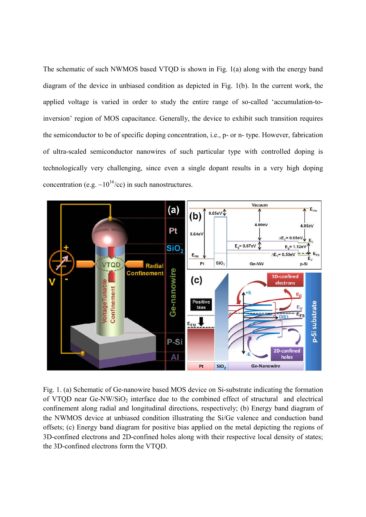The schematic of such NWMOS based VTQD is shown in Fig. 1(a) along with the energy band diagram of the device in unbiased condition as depicted in Fig. 1(b). In the current work, the applied voltage is varied in order to study the entire range of so-called 'accumulation-toinversion' region of MOS capacitance. Generally, the device to exhibit such transition requires the semiconductor to be of specific doping concentration, i.e., p- or n- type. However, fabrication of ultra-scaled semiconductor nanowires of such particular type with controlled doping is technologically very challenging, since even a single dopant results in a very high doping concentration (e.g.  $\sim 10^{16}$ /cc) in such nanostructures.



Fig. 1. (a) Schematic of Ge-nanowire based MOS device on Si-substrate indicating the formation of VTQD near Ge-NW/SiO<sub>2</sub> interface due to the combined effect of structural and electrical confinement along radial and longitudinal directions, respectively; (b) Energy band diagram of the NWMOS device at unbiased condition illustrating the Si/Ge valence and conduction band offsets; (c) Energy band diagram for positive bias applied on the metal depicting the regions of 3D-confined electrons and 2D-confined holes along with their respective local density of states; the 3D-confined electrons form the VTQD.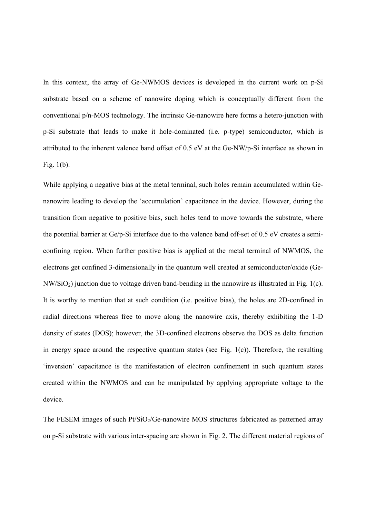In this context, the array of Ge-NWMOS devices is developed in the current work on p-Si substrate based on a scheme of nanowire doping which is conceptually different from the conventional p/n-MOS technology. The intrinsic Ge-nanowire here forms a hetero-junction with p-Si substrate that leads to make it hole-dominated (i.e. p-type) semiconductor, which is attributed to the inherent valence band offset of 0.5 eV at the Ge-NW/p-Si interface as shown in Fig. 1(b).

While applying a negative bias at the metal terminal, such holes remain accumulated within Genanowire leading to develop the 'accumulation' capacitance in the device. However, during the transition from negative to positive bias, such holes tend to move towards the substrate, where the potential barrier at Ge/p-Si interface due to the valence band off-set of 0.5 eV creates a semiconfining region. When further positive bias is applied at the metal terminal of NWMOS, the electrons get confined 3-dimensionally in the quantum well created at semiconductor/oxide (Ge-NW/SiO2) junction due to voltage driven band-bending in the nanowire as illustrated in Fig. 1(c). It is worthy to mention that at such condition (i.e. positive bias), the holes are 2D-confined in radial directions whereas free to move along the nanowire axis, thereby exhibiting the 1-D density of states (DOS); however, the 3D-confined electrons observe the DOS as delta function in energy space around the respective quantum states (see Fig.  $1(c)$ ). Therefore, the resulting 'inversion' capacitance is the manifestation of electron confinement in such quantum states created within the NWMOS and can be manipulated by applying appropriate voltage to the device.

The FESEM images of such  $Pt/SiO<sub>2</sub>/Ge$ -nanowire MOS structures fabricated as patterned array on p-Si substrate with various inter-spacing are shown in Fig. 2. The different material regions of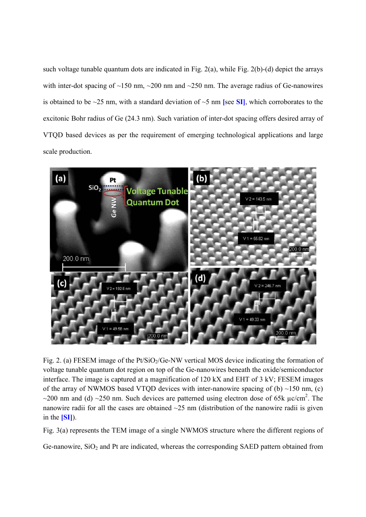such voltage tunable quantum dots are indicated in Fig. 2(a), while Fig. 2(b)-(d) depict the arrays with inter-dot spacing of ~150 nm, ~200 nm and ~250 nm. The average radius of Ge-nanowires is obtained to be  $\sim$ 25 nm, with a standard deviation of  $\sim$ 5 nm **[see SI]**, which corroborates to the excitonic Bohr radius of Ge (24.3 nm). Such variation of inter-dot spacing offers desired array of VTQD based devices as per the requirement of emerging technological applications and large scale production.



Fig. 2. (a) FESEM image of the  $Pt/SiO<sub>2</sub>/Ge-NW$  vertical MOS device indicating the formation of voltage tunable quantum dot region on top of the Ge-nanowires beneath the oxide/semiconductor interface. The image is captured at a magnification of 120 kX and EHT of 3 kV; FESEM images of the array of NWMOS based VTQD devices with inter-nanowire spacing of (b) ~150 nm, (c)  $\sim$ 200 nm and (d)  $\sim$ 250 nm. Such devices are patterned using electron dose of 65k  $\mu$ c/cm<sup>2</sup>. The nanowire radii for all the cases are obtained  $\sim$ 25 nm (distribution of the nanowire radii is given in the **[SI]**).

Fig. 3(a) represents the TEM image of a single NWMOS structure where the different regions of

Ge-nanowire,  $SiO<sub>2</sub>$  and Pt are indicated, whereas the corresponding SAED pattern obtained from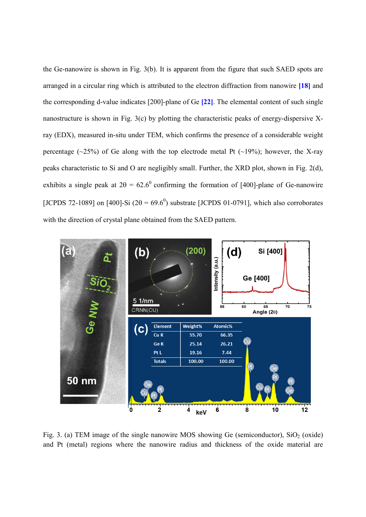the Ge-nanowire is shown in Fig. 3(b). It is apparent from the figure that such SAED spots are arranged in a circular ring which is attributed to the electron diffraction from nanowire **[18]** and the corresponding d-value indicates [200]-plane of Ge **[22]**. The elemental content of such single nanostructure is shown in Fig. 3(c) by plotting the characteristic peaks of energy-dispersive Xray (EDX), measured in-situ under TEM, which confirms the presence of a considerable weight percentage ( $\sim$ 25%) of Ge along with the top electrode metal Pt ( $\sim$ 19%); however, the X-ray peaks characteristic to Si and O are negligibly small. Further, the XRD plot, shown in Fig. 2(d), exhibits a single peak at  $2\theta = 62.6^{\circ}$  confirming the formation of [400]-plane of Ge-nanowire [JCPDS 72-1089] on [400]-Si  $(2\theta = 69.6^0)$  substrate [JCPDS 01-0791], which also corroborates with the direction of crystal plane obtained from the SAED pattern.



Fig. 3. (a) TEM image of the single nanowire MOS showing Ge (semiconductor),  $SiO<sub>2</sub>$  (oxide) and Pt (metal) regions where the nanowire radius and thickness of the oxide material are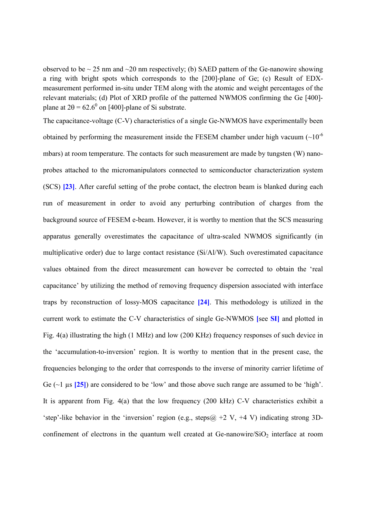observed to be  $\sim$  25 nm and  $\sim$  20 nm respectively; (b) SAED pattern of the Ge-nanowire showing a ring with bright spots which corresponds to the [200]-plane of Ge; (c) Result of EDXmeasurement performed in-situ under TEM along with the atomic and weight percentages of the relevant materials; (d) Plot of XRD profile of the patterned NWMOS confirming the Ge [400] plane at  $2\theta = 62.6^{\circ}$  on [400]-plane of Si substrate.

The capacitance-voltage (C-V) characteristics of a single Ge-NWMOS have experimentally been obtained by performing the measurement inside the FESEM chamber under high vacuum  $(\sim 10^{-6}$ mbars) at room temperature. The contacts for such measurement are made by tungsten (W) nanoprobes attached to the micromanipulators connected to semiconductor characterization system (SCS) **[23]**. After careful setting of the probe contact, the electron beam is blanked during each run of measurement in order to avoid any perturbing contribution of charges from the background source of FESEM e-beam. However, it is worthy to mention that the SCS measuring apparatus generally overestimates the capacitance of ultra-scaled NWMOS significantly (in multiplicative order) due to large contact resistance (Si/Al/W). Such overestimated capacitance values obtained from the direct measurement can however be corrected to obtain the 'real capacitance' by utilizing the method of removing frequency dispersion associated with interface traps by reconstruction of lossy-MOS capacitance **[24]**. This methodology is utilized in the current work to estimate the C-V characteristics of single Ge-NWMOS **[**see **SI]** and plotted in Fig. 4(a) illustrating the high (1 MHz) and low (200 KHz) frequency responses of such device in the 'accumulation-to-inversion' region. It is worthy to mention that in the present case, the frequencies belonging to the order that corresponds to the inverse of minority carrier lifetime of Ge (~1 µs **[25]**) are considered to be 'low' and those above such range are assumed to be 'high'. It is apparent from Fig. 4(a) that the low frequency (200 kHz) C-V characteristics exhibit a 'step'-like behavior in the 'inversion' region (e.g., steps $@ + 2V + 4V$ ) indicating strong 3Dconfinement of electrons in the quantum well created at Ge-nanowire/ $SiO<sub>2</sub>$  interface at room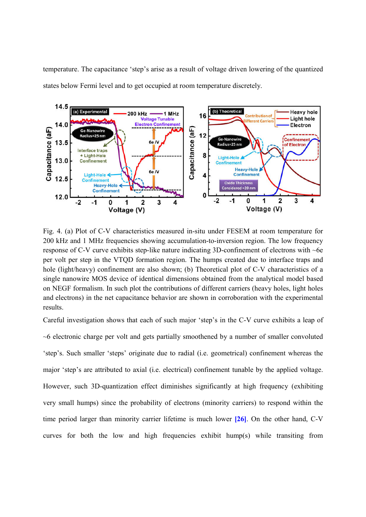temperature. The capacitance 'step's arise as a result of voltage driven lowering of the quantized states below Fermi level and to get occupied at room temperature discretely.



Fig. 4. (a) Plot of C-V characteristics measured in-situ under FESEM at room temperature for 200 kHz and 1 MHz frequencies showing accumulation-to-inversion region. The low frequency response of C-V curve exhibits step-like nature indicating 3D-confinement of electrons with ~6e per volt per step in the VTQD formation region. The humps created due to interface traps and hole (light/heavy) confinement are also shown; (b) Theoretical plot of C-V characteristics of a single nanowire MOS device of identical dimensions obtained from the analytical model based on NEGF formalism. In such plot the contributions of different carriers (heavy holes, light holes and electrons) in the net capacitance behavior are shown in corroboration with the experimental results.

Careful investigation shows that each of such major 'step's in the C-V curve exhibits a leap of ~6 electronic charge per volt and gets partially smoothened by a number of smaller convoluted 'step's. Such smaller 'steps' originate due to radial (i.e. geometrical) confinement whereas the major 'step's are attributed to axial (i.e. electrical) confinement tunable by the applied voltage. However, such 3D-quantization effect diminishes significantly at high frequency (exhibiting very small humps) since the probability of electrons (minority carriers) to respond within the time period larger than minority carrier lifetime is much lower **[26]**. On the other hand, C-V curves for both the low and high frequencies exhibit hump(s) while transiting from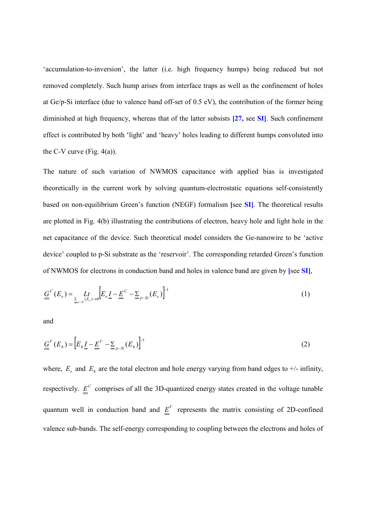'accumulation-to-inversion', the latter (i.e. high frequency humps) being reduced but not removed completely. Such hump arises from interface traps as well as the confinement of holes at Ge/p-Si interface (due to valence band off-set of 0.5 eV), the contribution of the former being diminished at high frequency, whereas that of the latter subsists **[27,** see **SI]**. Such confinement effect is contributed by both 'light' and 'heavy' holes leading to different humps convoluted into the C-V curve (Fig.  $4(a)$ ).

The nature of such variation of NWMOS capacitance with applied bias is investigated theoretically in the current work by solving quantum-electrostatic equations self-consistently based on non-equilibrium Green's function (NEGF) formalism **[**see **SI]**. The theoretical results are plotted in Fig. 4(b) illustrating the contributions of electron, heavy hole and light hole in the net capacitance of the device. Such theoretical model considers the Ge-nanowire to be 'active device' coupled to p-Si substrate as the 'reservoir'. The corresponding retarded Green's function of NWMOS for electrons in conduction band and holes in valence band are given by **[**see **SI]**,

$$
\underline{G}^{C}(E_{e}) = \underset{E_{p-S}(E_{e}) \to 0}{L} \Big[ E_{e} \underline{I} - \underline{E}^{C} - \underline{\Sigma}_{p-Si}(E_{e}) \Big]^{-1}
$$
 (1)

and

$$
\underline{\underline{G}}^V(E_h) = \left[ E_h \underline{I} - \underline{E}^V - \underline{\Sigma}_{p-Si}(E_h) \right]^{-1} \tag{2}
$$

where,  $E_e$  and  $E_h$  are the total electron and hole energy varying from band edges to  $+/-$  infinity, respectively.  $E^C$  comprises of all the 3D-quantized energy states created in the voltage tunable quantum well in conduction band and  $E^V$  represents the matrix consisting of 2D-confined valence sub-bands. The self-energy corresponding to coupling between the electrons and holes of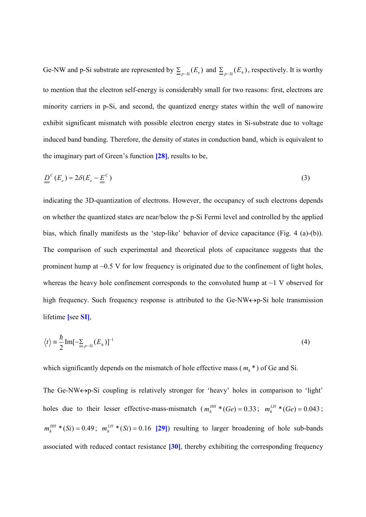Ge-NW and p-Si substrate are represented by  $\sum_{p=s_i}(E_e)$  and  $\sum_{p=s_i}(E_h)$ , respectively. It is worthy to mention that the electron self-energy is considerably small for two reasons: first, electrons are minority carriers in p-Si, and second, the quantized energy states within the well of nanowire exhibit significant mismatch with possible electron energy states in Si-substrate due to voltage induced band banding. Therefore, the density of states in conduction band, which is equivalent to the imaginary part of Green's function **[28]**, results to be,

$$
\underline{D}^C(E_e) = 2\delta(E_e - \underline{E}^C)
$$
\n(3)

indicating the 3D-quantization of electrons. However, the occupancy of such electrons depends on whether the quantized states are near/below the p-Si Fermi level and controlled by the applied bias, which finally manifests as the 'step-like' behavior of device capacitance (Fig. 4 (a)-(b)). The comparison of such experimental and theoretical plots of capacitance suggests that the prominent hump at  $\sim 0.5$  V for low frequency is originated due to the confinement of light holes, whereas the heavy hole confinement corresponds to the convoluted hump at  $\sim$  1 V observed for high frequency. Such frequency response is attributed to the Ge-NW $\leftrightarrow$  p-Si hole transmission lifetime **[**see **SI]**,

$$
\langle t \rangle = \frac{\hbar}{2} \operatorname{Im}[-\sum_{p \sim Si} (E_h)]^{-1} \tag{4}
$$

which significantly depends on the mismatch of hole effective mass  $(m_h^*)$  of Ge and Si.

The Ge-NW $\leftrightarrow$ p-Si coupling is relatively stronger for 'heavy' holes in comparison to 'light' holes due to their lesser effective-mass-mismatch  $(m_h^{\text{HH}}*(Ge) = 0.33$  $_{h}$ <sup>*HH*</sup>  $*(Ge) = 0.33$ ;  $m_h$ <sup>*LH*</sup>  $*(Ge) = 0.043$ ;  $m_h^{\text{HH}}$  \* (Si) = 0.49  $_{h}$ <sup>*HH*</sup>  $*(Si) = 0.49$ ;  $m_h^{LH}$   $*(Si) = 0.16$  $\int_{h}^{LH}$  \* (Si) = 0.16 [29]) resulting to larger broadening of hole sub-bands associated with reduced contact resistance **[30]**, thereby exhibiting the corresponding frequency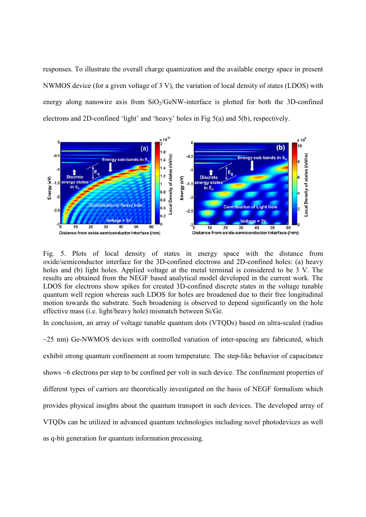responses. To illustrate the overall charge quantization and the available energy space in present NWMOS device (for a given voltage of 3 V), the variation of local density of states (LDOS) with energy along nanowire axis from  $SiO<sub>2</sub>/GeVW$ -interface is plotted for both the 3D-confined electrons and 2D-confined 'light' and 'heavy' holes in Fig 5(a) and 5(b), respectively.



Fig. 5. Plots of local density of states in energy space with the distance from oxide/semiconductor interface for the 3D-confined electrons and 2D-confined holes: (a) heavy holes and (b) light holes. Applied voltage at the metal terminal is considered to be 3 V. The results are obtained from the NEGF based analytical model developed in the current work. The LDOS for electrons show spikes for created 3D-confined discrete states in the voltage tunable quantum well region whereas such LDOS for holes are broadened due to their free longitudinal motion towards the substrate. Such broadening is observed to depend significantly on the hole effective mass (i.e. light/heavy hole) mismatch between Si/Ge.

In conclusion, an array of voltage tunable quantum dots (VTQDs) based on ultra-scaled (radius

 $\sim$ 25 nm) Ge-NWMOS devices with controlled variation of inter-spacing are fabricated, which exhibit strong quantum confinement at room temperature. The step-like behavior of capacitance shows ~6 electrons per step to be confined per volt in such device. The confinement properties of different types of carriers are theoretically investigated on the basis of NEGF formalism which provides physical insights about the quantum transport in such devices. The developed array of VTQDs can be utilized in advanced quantum technologies including novel photodevices as well as q-bit generation for quantum information processing.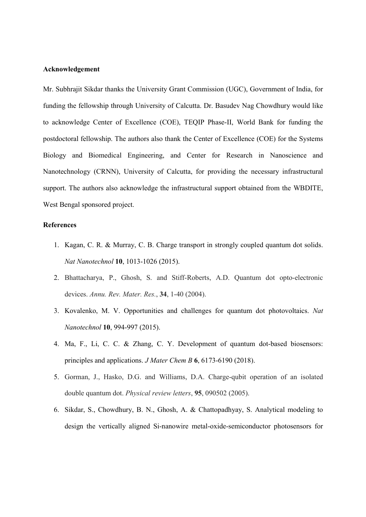## **Acknowledgement**

Mr. Subhrajit Sikdar thanks the University Grant Commission (UGC), Government of India, for funding the fellowship through University of Calcutta. Dr. Basudev Nag Chowdhury would like to acknowledge Center of Excellence (COE), TEQIP Phase-II, World Bank for funding the postdoctoral fellowship. The authors also thank the Center of Excellence (COE) for the Systems Biology and Biomedical Engineering, and Center for Research in Nanoscience and Nanotechnology (CRNN), University of Calcutta, for providing the necessary infrastructural support. The authors also acknowledge the infrastructural support obtained from the WBDITE, West Bengal sponsored project.

## **References**

- 1. Kagan, C. R. & Murray, C. B. Charge transport in strongly coupled quantum dot solids. *Nat Nanotechnol* **10**, 1013-1026 (2015).
- 2. Bhattacharya, P., Ghosh, S. and Stiff-Roberts, A.D. Quantum dot opto-electronic devices. *Annu. Rev. Mater. Res.*, **34**, 1-40 (2004).
- 3. Kovalenko, M. V. Opportunities and challenges for quantum dot photovoltaics. *Nat Nanotechnol* **10**, 994-997 (2015).
- 4. Ma, F., Li, C. C. & Zhang, C. Y. Development of quantum dot-based biosensors: principles and applications. *J Mater Chem B* **6**, 6173-6190 (2018).
- 5. Gorman, J., Hasko, D.G. and Williams, D.A. Charge-qubit operation of an isolated double quantum dot. *Physical review letters*, **95**, 090502 (2005).
- 6. Sikdar, S., Chowdhury, B. N., Ghosh, A. & Chattopadhyay, S. Analytical modeling to design the vertically aligned Si-nanowire metal-oxide-semiconductor photosensors for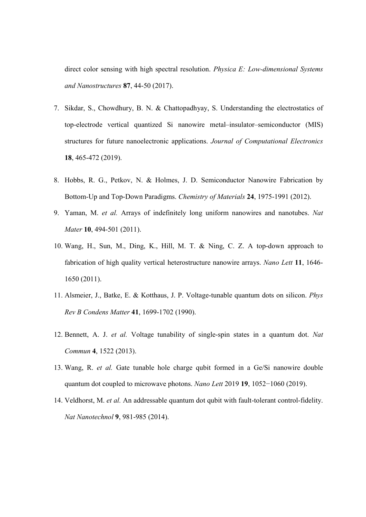direct color sensing with high spectral resolution. *Physica E: Low-dimensional Systems and Nanostructures* **87**, 44-50 (2017).

- 7. Sikdar, S., Chowdhury, B. N. & Chattopadhyay, S. Understanding the electrostatics of top-electrode vertical quantized Si nanowire metal–insulator–semiconductor (MIS) structures for future nanoelectronic applications. *Journal of Computational Electronics* **18**, 465-472 (2019).
- 8. Hobbs, R. G., Petkov, N. & Holmes, J. D. Semiconductor Nanowire Fabrication by Bottom-Up and Top-Down Paradigms. *Chemistry of Materials* **24**, 1975-1991 (2012).
- 9. Yaman, M. *et al.* Arrays of indefinitely long uniform nanowires and nanotubes. *Nat Mater* **10**, 494-501 (2011).
- 10. Wang, H., Sun, M., Ding, K., Hill, M. T. & Ning, C. Z. A top-down approach to fabrication of high quality vertical heterostructure nanowire arrays. *Nano Lett* **11**, 1646- 1650 (2011).
- 11. Alsmeier, J., Batke, E. & Kotthaus, J. P. Voltage-tunable quantum dots on silicon. *Phys Rev B Condens Matter* **41**, 1699-1702 (1990).
- 12. Bennett, A. J. *et al.* Voltage tunability of single-spin states in a quantum dot. *Nat Commun* **4**, 1522 (2013).
- 13. Wang, R. *et al.* Gate tunable hole charge qubit formed in a Ge/Si nanowire double quantum dot coupled to microwave photons. *Nano Lett* 2019 **19**, 1052−1060 (2019).
- 14. Veldhorst, M. *et al.* An addressable quantum dot qubit with fault-tolerant control-fidelity. *Nat Nanotechnol* **9**, 981-985 (2014).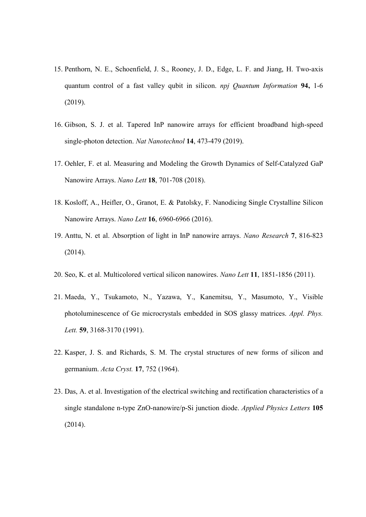- 15. Penthorn, N. E., Schoenfield, J. S., Rooney, J. D., Edge, L. F. and Jiang, H. Two-axis quantum control of a fast valley qubit in silicon. *npj Quantum Information* **94,** 1-6 (2019).
- 16. Gibson, S. J. et al. Tapered InP nanowire arrays for efficient broadband high-speed single-photon detection. *Nat Nanotechnol* **14**, 473-479 (2019).
- 17. Oehler, F. et al. Measuring and Modeling the Growth Dynamics of Self-Catalyzed GaP Nanowire Arrays. *Nano Lett* **18**, 701-708 (2018).
- 18. Kosloff, A., Heifler, O., Granot, E. & Patolsky, F. Nanodicing Single Crystalline Silicon Nanowire Arrays. *Nano Lett* **16**, 6960-6966 (2016).
- 19. Anttu, N. et al. Absorption of light in InP nanowire arrays. *Nano Research* **7**, 816-823 (2014).
- 20. Seo, K. et al. Multicolored vertical silicon nanowires. *Nano Lett* **11**, 1851-1856 (2011).
- 21. Maeda, Y., Tsukamoto, N., Yazawa, Y., Kanemitsu, Y., Masumoto, Y., Visible photoluminescence of Ge microcrystals embedded in SOS glassy matrices. *Appl. Phys. Lett.* **59**, 3168-3170 (1991).
- 22. Kasper, J. S. and Richards, S. M. The crystal structures of new forms of silicon and germanium. *Acta Cryst.* **17**, 752 (1964).
- 23. Das, A. et al. Investigation of the electrical switching and rectification characteristics of a single standalone n-type ZnO-nanowire/p-Si junction diode. *Applied Physics Letters* **105** (2014).